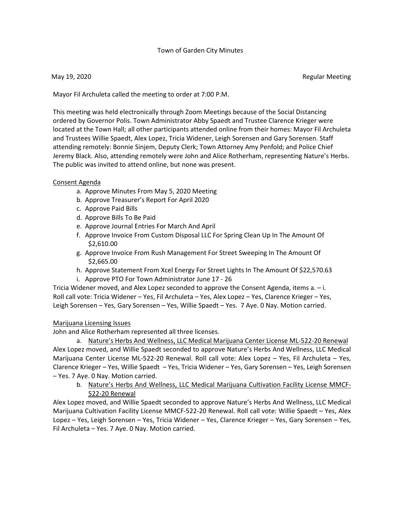### Town of Garden City Minutes

May 19, 2020 **Regular Meeting** 

Mayor Fil Archuleta called the meeting to order at 7:00 P.M.

This meeting was held electronically through Zoom Meetings because of the Social Distancing ordered by Governor Polis. Town Administrator Abby Spaedt and Trustee Clarence Krieger were located at the Town Hall; all other participants attended online from their homes: Mayor Fil Archuleta and Trustees Willie Spaedt, Alex Lopez, Tricia Widener, Leigh Sorensen and Gary Sorensen. Staff attending remotely: Bonnie Sinjem, Deputy Clerk; Town Attorney Amy Penfold; and Police Chief Jeremy Black. Also, attending remotely were John and Alice Rotherham, representing Nature's Herbs. The public was invited to attend online, but none was present.

### Consent Agenda

- a. Approve Minutes From May 5, 2020 Meeting
- b. Approve Treasurer's Report For April 2020
- c. Approve Paid Bills
- d. Approve Bills To Be Paid
- e. Approve Journal Entries For March And April
- f. Approve Invoice From Custom Disposal LLC For Spring Clean Up In The Amount Of \$2,610.00
- g. Approve Invoice From Rush Management For Street Sweeping In The Amount Of \$2,665.00
- h. Approve Statement From Xcel Energy For Street Lights In The Amount Of \$22,570.63
- i. Approve PTO For Town Administrator June 17 26

Tricia Widener moved, and Alex Lopez seconded to approve the Consent Agenda, items a. – i. Roll call vote: Tricia Widener – Yes, Fil Archuleta – Yes, Alex Lopez – Yes, Clarence Krieger – Yes, Leigh Sorensen – Yes, Gary Sorensen – Yes, Willie Spaedt – Yes. 7 Aye. 0 Nay. Motion carried.

### Marijuana Licensing Issues

John and Alice Rotherham represented all three licenses.

a. Nature's Herbs And Wellness, LLC Medical Marijuana Center License ML-522-20 Renewal Alex Lopez moved, and Willie Spaedt seconded to approve Nature's Herbs And Wellness, LLC Medical Marijuana Center License ML-522-20 Renewal. Roll call vote: Alex Lopez – Yes, Fil Archuleta – Yes, Clarence Krieger – Yes, Willie Spaedt – Yes, Tricia Widener – Yes, Gary Sorensen – Yes, Leigh Sorensen – Yes. 7 Aye. 0 Nay. Motion carried.

b. Nature's Herbs And Wellness, LLC Medical Marijuana Cultivation Facility License MMCF-522-20 Renewal

Alex Lopez moved, and Willie Spaedt seconded to approve Nature's Herbs And Wellness, LLC Medical Marijuana Cultivation Facility License MMCF-522-20 Renewal. Roll call vote: Willie Spaedt – Yes, Alex Lopez – Yes, Leigh Sorensen – Yes, Tricia Widener – Yes, Clarence Krieger – Yes, Gary Sorensen – Yes, Fil Archuleta – Yes. 7 Aye. 0 Nay. Motion carried.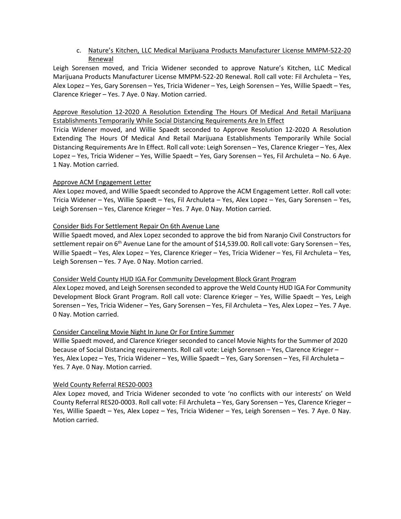# c. Nature's Kitchen, LLC Medical Marijuana Products Manufacturer License MMPM-522-20 Renewal

Leigh Sorensen moved, and Tricia Widener seconded to approve Nature's Kitchen, LLC Medical Marijuana Products Manufacturer License MMPM-522-20 Renewal. Roll call vote: Fil Archuleta – Yes, Alex Lopez – Yes, Gary Sorensen – Yes, Tricia Widener – Yes, Leigh Sorensen – Yes, Willie Spaedt – Yes, Clarence Krieger – Yes. 7 Aye. 0 Nay. Motion carried.

Approve Resolution 12-2020 A Resolution Extending The Hours Of Medical And Retail Marijuana Establishments Temporarily While Social Distancing Requirements Are In Effect

Tricia Widener moved, and Willie Spaedt seconded to Approve Resolution 12-2020 A Resolution Extending The Hours Of Medical And Retail Marijuana Establishments Temporarily While Social Distancing Requirements Are In Effect. Roll call vote: Leigh Sorensen – Yes, Clarence Krieger – Yes, Alex Lopez – Yes, Tricia Widener – Yes, Willie Spaedt – Yes, Gary Sorensen – Yes, Fil Archuleta – No. 6 Aye. 1 Nay. Motion carried.

### Approve ACM Engagement Letter

Alex Lopez moved, and Willie Spaedt seconded to Approve the ACM Engagement Letter. Roll call vote: Tricia Widener – Yes, Willie Spaedt – Yes, Fil Archuleta – Yes, Alex Lopez – Yes, Gary Sorensen – Yes, Leigh Sorensen – Yes, Clarence Krieger – Yes. 7 Aye. 0 Nay. Motion carried.

## Consider Bids For Settlement Repair On 6th Avenue Lane

Willie Spaedt moved, and Alex Lopez seconded to approve the bid from Naranjo Civil Constructors for settlement repair on  $6<sup>th</sup>$  Avenue Lane for the amount of \$14,539.00. Roll call vote: Gary Sorensen – Yes, Willie Spaedt – Yes, Alex Lopez – Yes, Clarence Krieger – Yes, Tricia Widener – Yes, Fil Archuleta – Yes, Leigh Sorensen – Yes. 7 Aye. 0 Nay. Motion carried.

### Consider Weld County HUD IGA For Community Development Block Grant Program

Alex Lopez moved, and Leigh Sorensen seconded to approve the Weld County HUD IGA For Community Development Block Grant Program. Roll call vote: Clarence Krieger – Yes, Willie Spaedt – Yes, Leigh Sorensen – Yes, Tricia Widener – Yes, Gary Sorensen – Yes, Fil Archuleta – Yes, Alex Lopez – Yes. 7 Aye. 0 Nay. Motion carried.

### Consider Canceling Movie Night In June Or For Entire Summer

Willie Spaedt moved, and Clarence Krieger seconded to cancel Movie Nights for the Summer of 2020 because of Social Distancing requirements. Roll call vote: Leigh Sorensen – Yes, Clarence Krieger – Yes, Alex Lopez – Yes, Tricia Widener – Yes, Willie Spaedt – Yes, Gary Sorensen – Yes, Fil Archuleta – Yes. 7 Aye. 0 Nay. Motion carried.

### Weld County Referral RES20-0003

Alex Lopez moved, and Tricia Widener seconded to vote 'no conflicts with our interests' on Weld County Referral RES20-0003. Roll call vote: Fil Archuleta – Yes, Gary Sorensen – Yes, Clarence Krieger – Yes, Willie Spaedt – Yes, Alex Lopez – Yes, Tricia Widener – Yes, Leigh Sorensen – Yes. 7 Aye. 0 Nay. Motion carried.